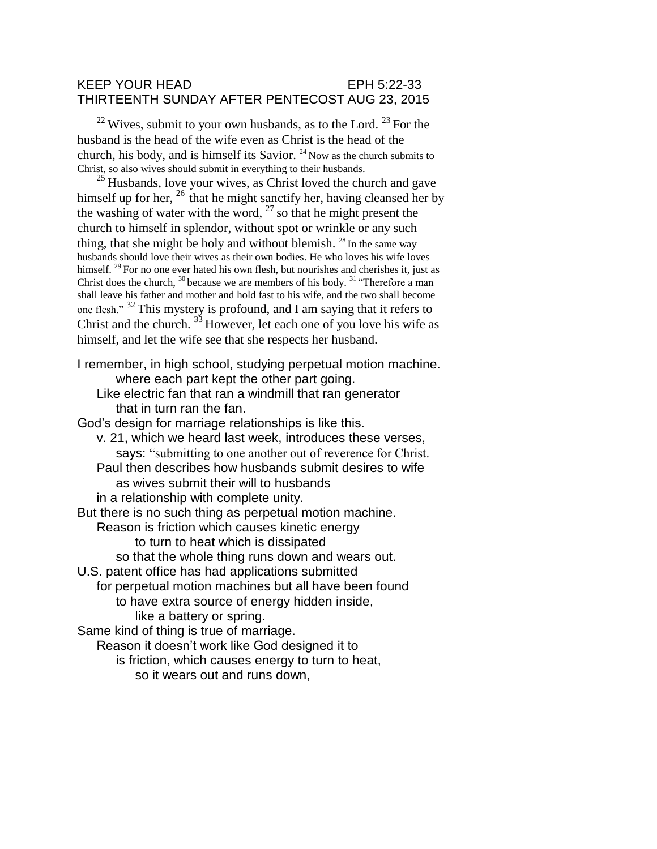## KEEP YOUR HEAD EPH 5:22-33 THIRTEENTH SUNDAY AFTER PENTECOST AUG 23, 2015

 $^{22}$  Wives, submit to your own husbands, as to the Lord.  $^{23}$  For the husband is the head of the wife even as Christ is the head of the church, his body, and is himself its Savior.  $24$  Now as the church submits to Christ, so also wives should submit in everything to their husbands.

 $25$  Husbands, love your wives, as Christ loved the church and gave himself up for her,  $^{26}$  that he might sanctify her, having cleansed her by the washing of water with the word,  $27$  so that he might present the church to himself in splendor, without spot or wrinkle or any such thing, that she might be holy and without blemish.  $^{28}$  In the same way husbands should love their wives as their own bodies. He who loves his wife loves himself. <sup>29</sup> For no one ever hated his own flesh, but nourishes and cherishes it, just as Christ does the church,  $30$  because we are members of his body.  $31$  "Therefore a man shall leave his father and mother and hold fast to his wife, and the two shall become one flesh."<sup>32</sup>This mystery is profound, and I am saying that it refers to Christ and the church.  $3\frac{3}{1}$  However, let each one of you love his wife as himself, and let the wife see that she respects her husband.

I remember, in high school, studying perpetual motion machine. where each part kept the other part going. Like electric fan that ran a windmill that ran generator that in turn ran the fan. God's design for marriage relationships is like this. v. 21, which we heard last week, introduces these verses, says: "submitting to one another out of reverence for Christ. Paul then describes how husbands submit desires to wife as wives submit their will to husbands in a relationship with complete unity. But there is no such thing as perpetual motion machine. Reason is friction which causes kinetic energy to turn to heat which is dissipated so that the whole thing runs down and wears out. U.S. patent office has had applications submitted for perpetual motion machines but all have been found to have extra source of energy hidden inside, like a battery or spring. Same kind of thing is true of marriage. Reason it doesn't work like God designed it to is friction, which causes energy to turn to heat, so it wears out and runs down,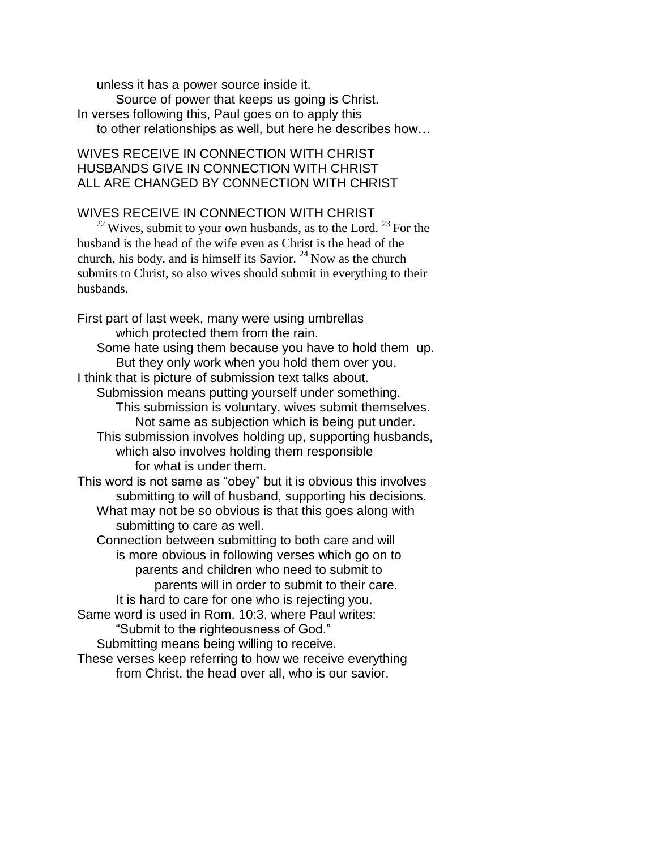unless it has a power source inside it. Source of power that keeps us going is Christ. In verses following this, Paul goes on to apply this to other relationships as well, but here he describes how…

## WIVES RECEIVE IN CONNECTION WITH CHRIST HUSBANDS GIVE IN CONNECTION WITH CHRIST ALL ARE CHANGED BY CONNECTION WITH CHRIST

## WIVES RECEIVE IN CONNECTION WITH CHRIST

 $^{22}$  Wives, submit to your own husbands, as to the Lord.  $^{23}$  For the husband is the head of the wife even as Christ is the head of the church, his body, and is himself its Savior.  $^{24}$  Now as the church submits to Christ, so also wives should submit in everything to their husbands.

First part of last week, many were using umbrellas which protected them from the rain. Some hate using them because you have to hold them up. But they only work when you hold them over you. I think that is picture of submission text talks about. Submission means putting yourself under something. This submission is voluntary, wives submit themselves. Not same as subjection which is being put under. This submission involves holding up, supporting husbands, which also involves holding them responsible for what is under them. This word is not same as "obey" but it is obvious this involves submitting to will of husband, supporting his decisions. What may not be so obvious is that this goes along with submitting to care as well. Connection between submitting to both care and will is more obvious in following verses which go on to parents and children who need to submit to parents will in order to submit to their care. It is hard to care for one who is rejecting you. Same word is used in Rom. 10:3, where Paul writes: "Submit to the righteousness of God." Submitting means being willing to receive. These verses keep referring to how we receive everything

from Christ, the head over all, who is our savior.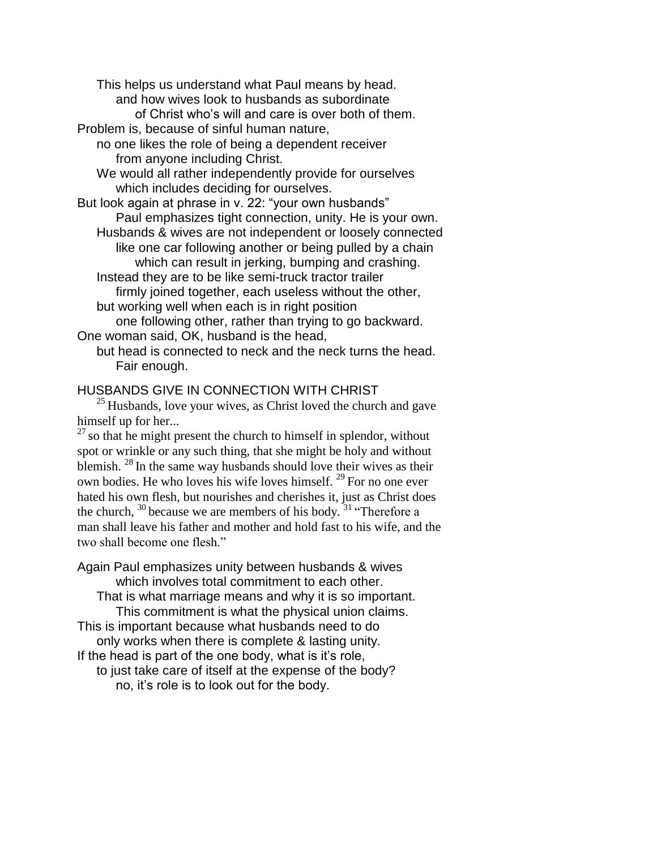This helps us understand what Paul means by head. and how wives look to husbands as subordinate

of Christ who's will and care is over both of them. Problem is, because of sinful human nature,

no one likes the role of being a dependent receiver

from anyone including Christ.

We would all rather independently provide for ourselves which includes deciding for ourselves.

But look again at phrase in v. 22: "your own husbands" Paul emphasizes tight connection, unity. He is your own.

Husbands & wives are not independent or loosely connected like one car following another or being pulled by a chain which can result in jerking, bumping and crashing.

Instead they are to be like semi-truck tractor trailer

firmly joined together, each useless without the other, but working well when each is in right position

one following other, rather than trying to go backward. One woman said, OK, husband is the head,

but head is connected to neck and the neck turns the head. Fair enough.

## HUSBANDS GIVE IN CONNECTION WITH CHRIST

 $25$  Husbands, love your wives, as Christ loved the church and gave himself up for her...

 $27$  so that he might present the church to himself in splendor, without spot or wrinkle or any such thing, that she might be holy and without blemish.  $^{28}$  In the same way husbands should love their wives as their own bodies. He who loves his wife loves himself.  $^{29}$  For no one ever hated his own flesh, but nourishes and cherishes it, just as Christ does the church,  $^{30}$  because we are members of his body.  $^{31}$  "Therefore a man shall leave his father and mother and hold fast to his wife, and the two shall become one flesh."

Again Paul emphasizes unity between husbands & wives which involves total commitment to each other.

That is what marriage means and why it is so important. This commitment is what the physical union claims.

This is important because what husbands need to do only works when there is complete & lasting unity.

If the head is part of the one body, what is it's role,

to just take care of itself at the expense of the body? no, it's role is to look out for the body.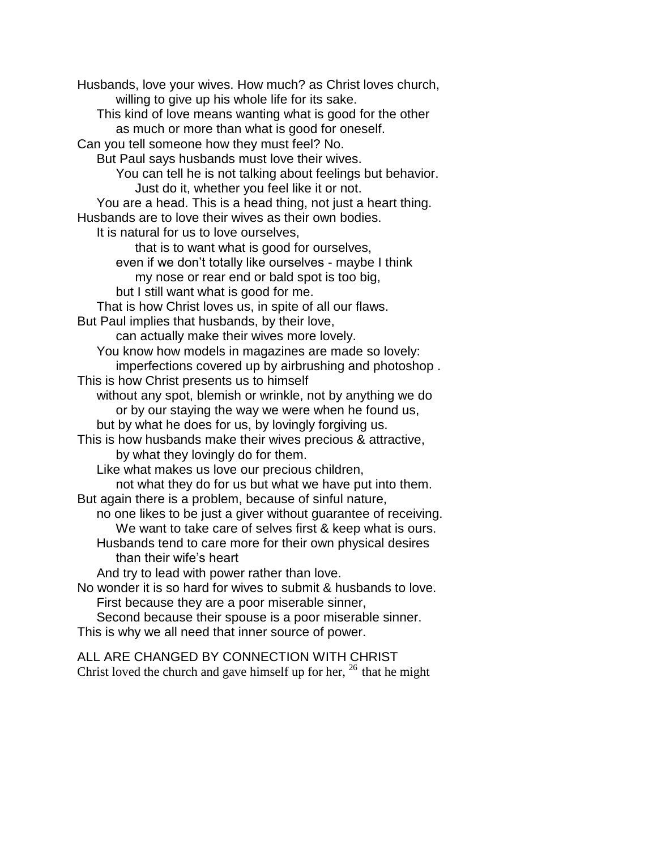Husbands, love your wives. How much? as Christ loves church, willing to give up his whole life for its sake. This kind of love means wanting what is good for the other as much or more than what is good for oneself. Can you tell someone how they must feel? No. But Paul says husbands must love their wives. You can tell he is not talking about feelings but behavior. Just do it, whether you feel like it or not. You are a head. This is a head thing, not just a heart thing. Husbands are to love their wives as their own bodies. It is natural for us to love ourselves, that is to want what is good for ourselves, even if we don't totally like ourselves - maybe I think my nose or rear end or bald spot is too big, but I still want what is good for me. That is how Christ loves us, in spite of all our flaws. But Paul implies that husbands, by their love, can actually make their wives more lovely. You know how models in magazines are made so lovely: imperfections covered up by airbrushing and photoshop . This is how Christ presents us to himself without any spot, blemish or wrinkle, not by anything we do or by our staying the way we were when he found us, but by what he does for us, by lovingly forgiving us. This is how husbands make their wives precious & attractive, by what they lovingly do for them. Like what makes us love our precious children, not what they do for us but what we have put into them. But again there is a problem, because of sinful nature, no one likes to be just a giver without guarantee of receiving. We want to take care of selves first & keep what is ours. Husbands tend to care more for their own physical desires than their wife's heart And try to lead with power rather than love. No wonder it is so hard for wives to submit & husbands to love. First because they are a poor miserable sinner, Second because their spouse is a poor miserable sinner. This is why we all need that inner source of power.

ALL ARE CHANGED BY CONNECTION WITH CHRIST Christ loved the church and gave himself up for her,  $^{26}$  that he might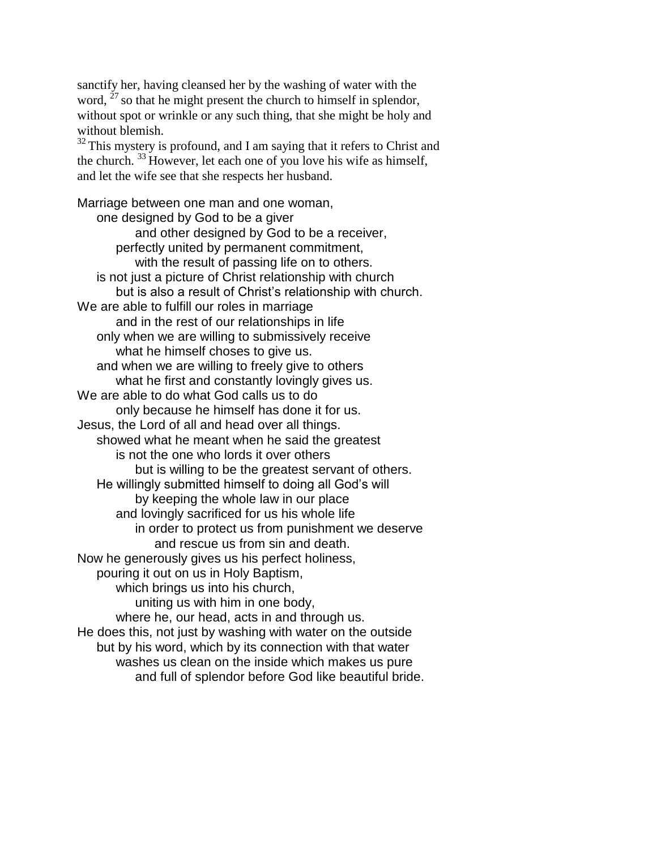sanctify her, having cleansed her by the washing of water with the word,  $^{27}$  so that he might present the church to himself in splendor, without spot or wrinkle or any such thing, that she might be holy and without blemish.

 $32$  This mystery is profound, and I am saying that it refers to Christ and the church.  $^{33}$  However, let each one of you love his wife as himself, and let the wife see that she respects her husband.

Marriage between one man and one woman, one designed by God to be a giver and other designed by God to be a receiver, perfectly united by permanent commitment, with the result of passing life on to others. is not just a picture of Christ relationship with church but is also a result of Christ's relationship with church. We are able to fulfill our roles in marriage and in the rest of our relationships in life only when we are willing to submissively receive what he himself choses to give us. and when we are willing to freely give to others what he first and constantly lovingly gives us. We are able to do what God calls us to do only because he himself has done it for us. Jesus, the Lord of all and head over all things. showed what he meant when he said the greatest is not the one who lords it over others but is willing to be the greatest servant of others. He willingly submitted himself to doing all God's will by keeping the whole law in our place and lovingly sacrificed for us his whole life in order to protect us from punishment we deserve and rescue us from sin and death. Now he generously gives us his perfect holiness, pouring it out on us in Holy Baptism, which brings us into his church, uniting us with him in one body, where he, our head, acts in and through us. He does this, not just by washing with water on the outside but by his word, which by its connection with that water washes us clean on the inside which makes us pure and full of splendor before God like beautiful bride.